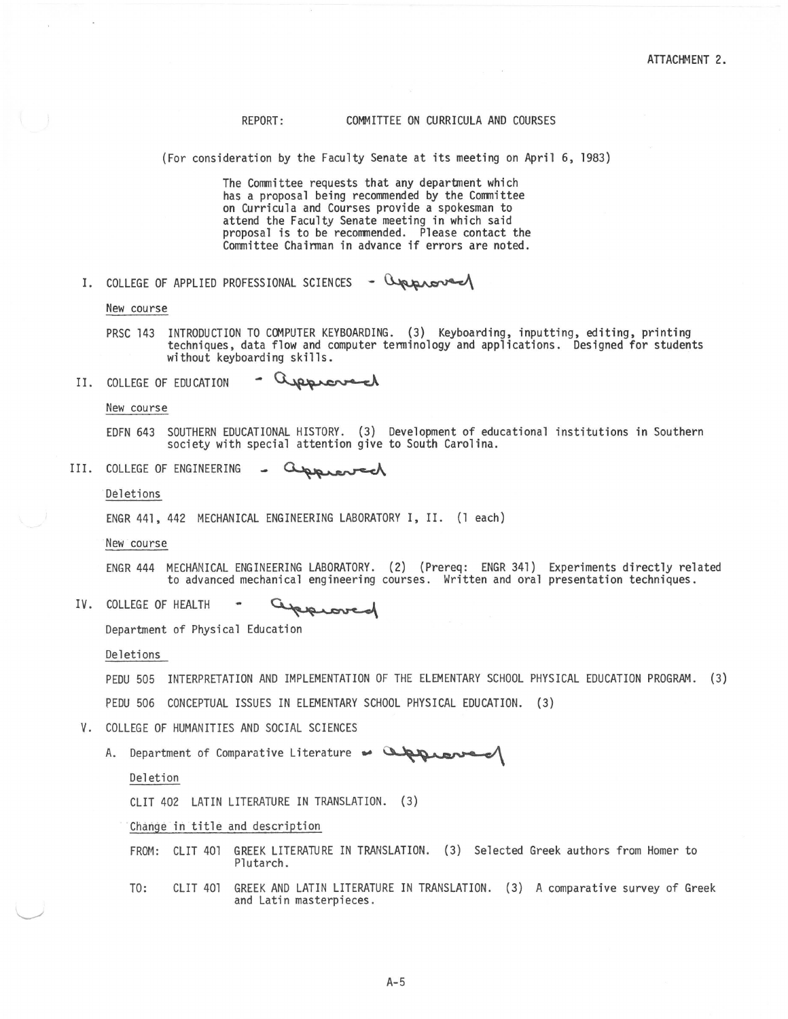## REPORT: COMMITTEE ON CURRICULA AND COURSES

(For consideration by the Faculty Senate at its meeting on April 6, 1983)

The Committee requests that any department which has a proposal being recommended by the Committee on Curricula and Courses provide a spokesman to attend the Faculty Senate meeting in which said attend the Faculty Senate meeting in which said<br>proposal is to be recommended. Please contact the<br>Committee Chairman in advance if errors are noted.<br>OF APPLIED PROFESSIONAL SCIENCES - Queros Committee Chairman in advance if errors are noted.

I. COLLEGE

New course

- PRSC 143 INTRODUCTION TO COMPUTER KEYBOARDING. (3) Keyboarding, inputting, editing, printing<br>techniques, data flow and computer terminology and applications. Designed for students without keyboarding skills.
- approved II. COLLEGE OF EDUCATION

New course

EDFN 643 SOUTHERN EDUCATIONAL HISTORY. (3) Development of educational institutions in Southern society with special attention give to South Carolina. SOUTHERN EDUCATIONAL HISTORY. (3) Development of e<br>society with special attention give to South Carolin<br>OF ENGINEERING - Compression of

III. COLLEGE OF ENGINEERING - Cupperoved

Deletions

ENGR 441, 442 MECHANICAL ENGINEERING LABORATORY I, II. (1 each)

New course

ENGR 444 MECHANICAL ENGINEERING LABORATORY. (2) (Prereq: ENGR 341) Experiments directly related to advanced mechanical engineering courses. Written and oral presentation techniques.

IV. COLLEGE OF HEALTH prove

Department of Physical Education

Deletions

PEDU 505 INTERPRETATION AND IMPLEMENTATION OF THE ELEMENTARY SCHOOL PHYSICAL EDUCATION PROGRAM. (3)

PEDU 506 CONCEPTUAL ISSUES IN ELEMENTARY SCHOOL PHYSICAL EDUCATION. (3)

- V. COLLEGE OF HUMANITIES AND SOCIAL SCIENCES
- A. Department of Comparative Literature Chronomer INTERPRETATION AND IMPLEMENTATION OF THE ELEMENTARY SCHOOL PHYSICAL EDUCATION. (3)<br>506 CONCEPTUAL ISSUES IN ELEMENTARY SCHOOL PHYSICAL EDUCATION. (3)<br>EGE OF HUMANITIES AND SOCIAL SCIENCES<br>Department of Comparative Literatu

## Deletion

CLIT 402 LATIN LITERATURE IN TRANSLATION. (3)

Change in title and description

- FROM: CUT 401 GREEK LITERATURE IN TRANSLATION. (3) Selected Greek authors from Homer to Plutarch.
- TO: CLIT 401 GREEK AND LATIN LITERATURE IN TRANSLATION. (3) A comparative survey of Greek and Latin masterpieces.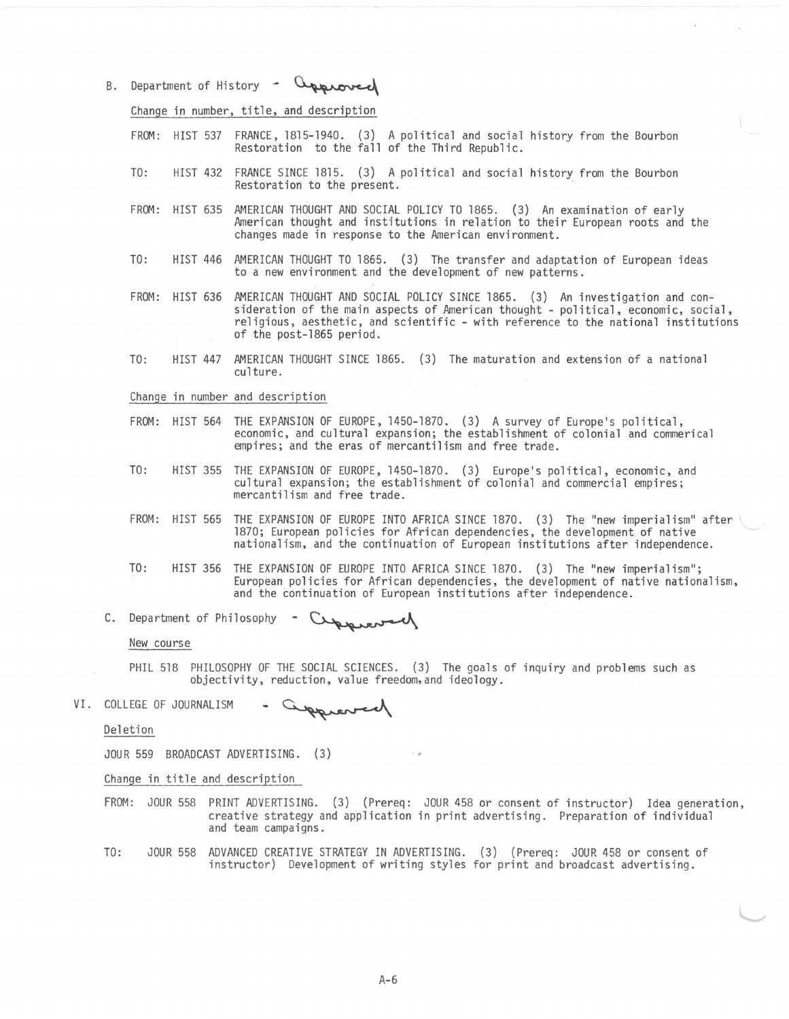B. Department of History approved

Change in number, title, and description

- FROM: HIST 537 FRANCE, 1815-1940. (3) A political and social history from the Bourbon Restoration to the fall of the Third Republic.
- TO: HIST 432 FRANCE SINCE 1815. (3) A political and social history from the Bourbon Restoration to the present.
- FROM: HIST 635 AMERICAN THOUGHT AND SOCIAL POLICY TO 1865. (3) An examination of early<br>American thought and institutions in relation to their European roots and the changes made in response to the American environment.
- TO: HIST 446 AMERICAN THOUGHT TO 1865. (3) The transfer and adaptation of European ideas to a new environment and the development of new patterns.
- FROM: HIST 636 AMERICAN THOUGHT AND SOCIAL POLICY SINCE 1865. (3) An investigation and consideration of the main aspects of American thought - political, economic, social, religious, aesthetic, and scientific - with reference to the national institutions of the post-1865 period.
- TO: HIST 447 AMERICAN THOUGHT SINCE 1865. (3) The maturation and extension of a national culture.

Change in number and description

- FROM: HIST 564 THE EXPANSION OF EUROPE, 1450-1870. (3) A survey of Europe's political,<br>economic, and cultural expansion; the establishment of colonial and commerical empires; and the eras of mercantilism and free trade.
- TO: HIST 355 THE EXPANSION OF EUROPE, 1450-1870. (3) Europe's political, economic, and cultural expansion; the establishment of colonial and commercial empires; mercantilism and free trade.
- FROM: HIST 565 THE EXPANSION OF EUROPE INTO AFRICA SINCE 1870. (3) The "new imperialism" after 1870; European policies for African dependencies, the development of native nationalism, and the continuation of European institutions after independence.
- TO: HIST 356 THE EXPANSION OF EUROPE INTO AFRICA SINCE 1870. (3) The "new imperialism"; European policies for African dependencies, the development of native nationalism, and the continuation of European institutions after independence. nationalism, and the continuation of European is<br>356 THE EXPANSION OF EUROPE INTO AFRICA SINCE 1870.<br>European policies for African dependencies, the<br>and the continuation of European institutions as<br>of Philosophy - Currenc
- C. Department of Philosophy

New course

- PHIL 518 PHILOSOPHY OF THE SOCIAL SCIENCES. (3) The goals of inquiry and problems such as objectivity, reduction, value freedom.and ideology.
- VI. COLLEGE OF JOURNALISM wargge

Deletion

JOUR 559 BROADCAST ADVERTISING. (3)

Change in title and description

- FROM: JOUR 558 PRINT ADVERTISING. (3) (Prereq: JOUR 458 or consent of instructor) Idea generation, creative strategy and application in print advertising. Preparation of individual and team campaigns.
- TO: JOUR 558 ADVANCED CREATIVE STRATEGY IN ADVERTISING. (3) (Prereq: JOUR 458 or consent of instructor) Development of writing styles for print and broadcast advertising.